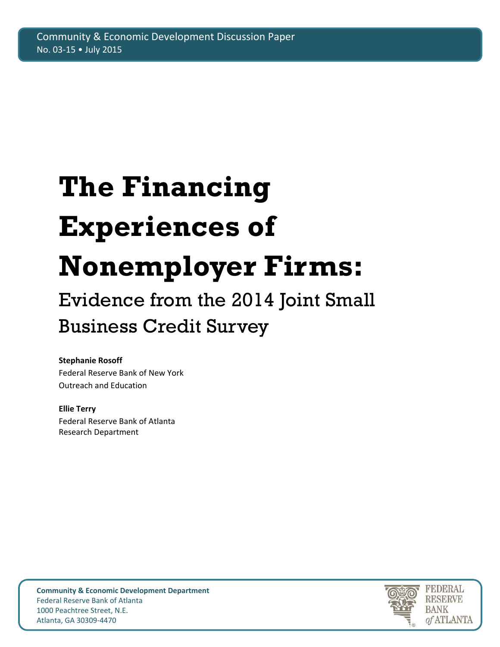# **The Financing Experiences of Nonemployer Firms:**

## Evidence from the 2014 Joint Small Business Credit Survey

## **Stephanie Rosoff**

Federal Reserve Bank of New York Outreach and Education

## **Ellie Terry**

Federal Reserve Bank of Atlanta Research Department



**Community & Economic Development Department** Federal Reserve Bank of Atlanta 1000 Peachtree Street, N.E. Atlanta, GA 30309‐4470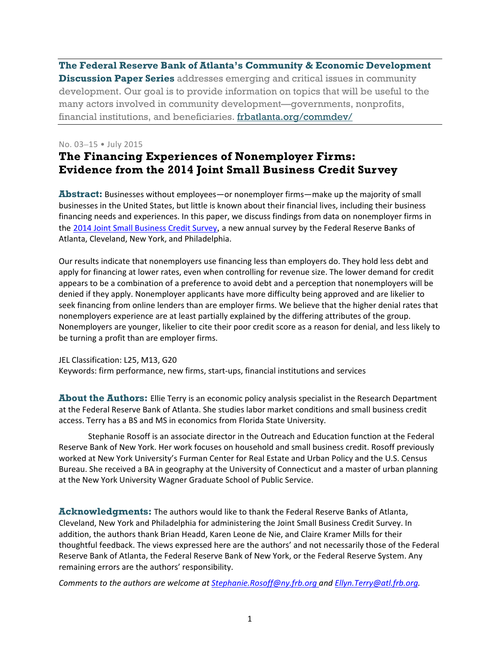**The Federal Reserve Bank of Atlanta's Community & Economic Development Discussion Paper Series** addresses emerging and critical issues in community development. Our goal is to provide information on topics that will be useful to the many actors involved in community development—governments, nonprofits, financial institutions, and beneficiaries. frbatlanta.org/commdev/

#### No. 03–15 • July 2015

## **The Financing Experiences of Nonemployer Firms: Evidence from the 2014 Joint Small Business Credit Survey**

**Abstract:** Businesses without employees—or nonemployer firms—make up the majority of small businesses in the United States, but little is known about their financial lives, including their business financing needs and experiences. In this paper, we discuss findings from data on nonemployer firms in the 2014 Joint Small Business Credit Survey, a new annual survey by the Federal Reserve Banks of Atlanta, Cleveland, New York, and Philadelphia.

Our results indicate that nonemployers use financing less than employers do. They hold less debt and apply for financing at lower rates, even when controlling for revenue size. The lower demand for credit appears to be a combination of a preference to avoid debt and a perception that nonemployers will be denied if they apply. Nonemployer applicants have more difficulty being approved and are likelier to seek financing from online lenders than are employer firms. We believe that the higher denial rates that nonemployers experience are at least partially explained by the differing attributes of the group. Nonemployers are younger, likelier to cite their poor credit score as a reason for denial, and less likely to be turning a profit than are employer firms.

JEL Classification: L25, M13, G20

Keywords: firm performance, new firms, start‐ups, financial institutions and services

**About the Authors:** Ellie Terry is an economic policy analysis specialist in the Research Department at the Federal Reserve Bank of Atlanta. She studies labor market conditions and small business credit access. Terry has a BS and MS in economics from Florida State University.

Stephanie Rosoff is an associate director in the Outreach and Education function at the Federal Reserve Bank of New York. Her work focuses on household and small business credit. Rosoff previously worked at New York University's Furman Center for Real Estate and Urban Policy and the U.S. Census Bureau. She received a BA in geography at the University of Connecticut and a master of urban planning at the New York University Wagner Graduate School of Public Service.

**Acknowledgments:** The authors would like to thank the Federal Reserve Banks of Atlanta, Cleveland, New York and Philadelphia for administering the Joint Small Business Credit Survey. In addition, the authors thank Brian Headd, Karen Leone de Nie, and Claire Kramer Mills for their thoughtful feedback. The views expressed here are the authors' and not necessarily those of the Federal Reserve Bank of Atlanta, the Federal Reserve Bank of New York, or the Federal Reserve System. Any remaining errors are the authors' responsibility.

*Comments to the authors are welcome at Stephanie.Rosoff@ny.frb.org and Ellyn.Terry@atl.frb.org.*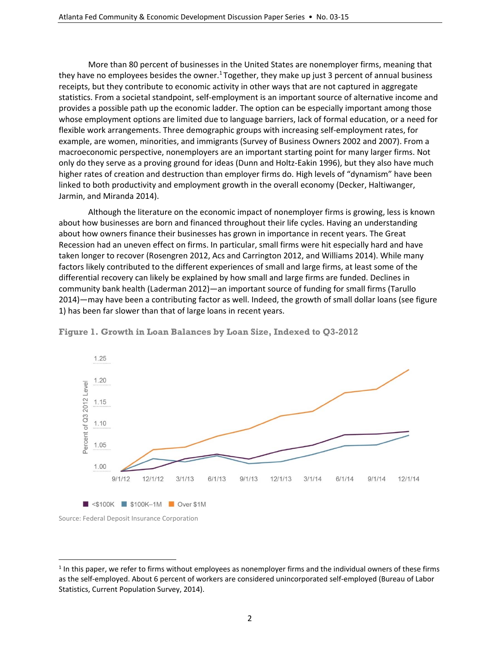More than 80 percent of businesses in the United States are nonemployer firms, meaning that they have no employees besides the owner.<sup>1</sup> Together, they make up just 3 percent of annual business receipts, but they contribute to economic activity in other ways that are not captured in aggregate statistics. From a societal standpoint, self‐employment is an important source of alternative income and provides a possible path up the economic ladder. The option can be especially important among those whose employment options are limited due to language barriers, lack of formal education, or a need for flexible work arrangements. Three demographic groups with increasing self-employment rates, for example, are women, minorities, and immigrants (Survey of Business Owners 2002 and 2007). From a macroeconomic perspective, nonemployers are an important starting point for many larger firms. Not only do they serve as a proving ground for ideas (Dunn and Holtz‐Eakin 1996), but they also have much higher rates of creation and destruction than employer firms do. High levels of "dynamism" have been linked to both productivity and employment growth in the overall economy (Decker, Haltiwanger, Jarmin, and Miranda 2014).

Although the literature on the economic impact of nonemployer firms is growing, less is known about how businesses are born and financed throughout their life cycles. Having an understanding about how owners finance their businesses has grown in importance in recent years. The Great Recession had an uneven effect on firms. In particular, small firms were hit especially hard and have taken longer to recover (Rosengren 2012, Acs and Carrington 2012, and Williams 2014). While many factors likely contributed to the different experiences of small and large firms, at least some of the differential recovery can likely be explained by how small and large firms are funded. Declines in community bank health (Laderman 2012)—an important source of funding for small firms (Tarullo 2014)—may have been a contributing factor as well. Indeed, the growth of small dollar loans (see figure 1) has been far slower than that of large loans in recent years.



**Figure 1. Growth in Loan Balances by Loan Size, Indexed to Q3-2012**

 $\overline{a}$ 

Source: Federal Deposit Insurance Corporation

 $1$  In this paper, we refer to firms without employees as nonemployer firms and the individual owners of these firms as the self-employed. About 6 percent of workers are considered unincorporated self-employed (Bureau of Labor Statistics, Current Population Survey, 2014).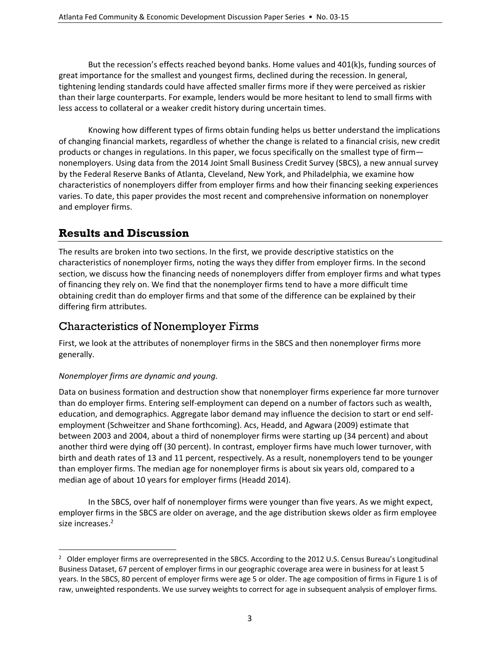But the recession's effects reached beyond banks. Home values and 401(k)s, funding sources of great importance for the smallest and youngest firms, declined during the recession. In general, tightening lending standards could have affected smaller firms more if they were perceived as riskier than their large counterparts. For example, lenders would be more hesitant to lend to small firms with less access to collateral or a weaker credit history during uncertain times.

Knowing how different types of firms obtain funding helps us better understand the implications of changing financial markets, regardless of whether the change is related to a financial crisis, new credit products or changes in regulations. In this paper, we focus specifically on the smallest type of firm nonemployers. Using data from the 2014 Joint Small Business Credit Survey (SBCS), a new annual survey by the Federal Reserve Banks of Atlanta, Cleveland, New York, and Philadelphia, we examine how characteristics of nonemployers differ from employer firms and how their financing seeking experiences varies. To date, this paper provides the most recent and comprehensive information on nonemployer and employer firms.

## **Results and Discussion**

The results are broken into two sections. In the first, we provide descriptive statistics on the characteristics of nonemployer firms, noting the ways they differ from employer firms. In the second section, we discuss how the financing needs of nonemployers differ from employer firms and what types of financing they rely on. We find that the nonemployer firms tend to have a more difficult time obtaining credit than do employer firms and that some of the difference can be explained by their differing firm attributes.

## Characteristics of Nonemployer Firms

First, we look at the attributes of nonemployer firms in the SBCS and then nonemployer firms more generally.

#### *Nonemployer firms are dynamic and young.*

Data on business formation and destruction show that nonemployer firms experience far more turnover than do employer firms. Entering self‐employment can depend on a number of factors such as wealth, education, and demographics. Aggregate labor demand may influence the decision to start or end self‐ employment (Schweitzer and Shane forthcoming). Acs, Headd, and Agwara (2009) estimate that between 2003 and 2004, about a third of nonemployer firms were starting up (34 percent) and about another third were dying off (30 percent). In contrast, employer firms have much lower turnover, with birth and death rates of 13 and 11 percent, respectively. As a result, nonemployers tend to be younger than employer firms. The median age for nonemployer firms is about six years old, compared to a median age of about 10 years for employer firms (Headd 2014).

In the SBCS, over half of nonemployer firms were younger than five years. As we might expect, employer firms in the SBCS are older on average, and the age distribution skews older as firm employee size increases.<sup>2</sup>

 $\overline{a}$  $^2$  Older employer firms are overrepresented in the SBCS. According to the 2012 U.S. Census Bureau's Longitudinal Business Dataset, 67 percent of employer firms in our geographic coverage area were in business for at least 5 years. In the SBCS, 80 percent of employer firms were age 5 or older. The age composition of firms in Figure 1 is of raw, unweighted respondents. We use survey weights to correct for age in subsequent analysis of employer firms.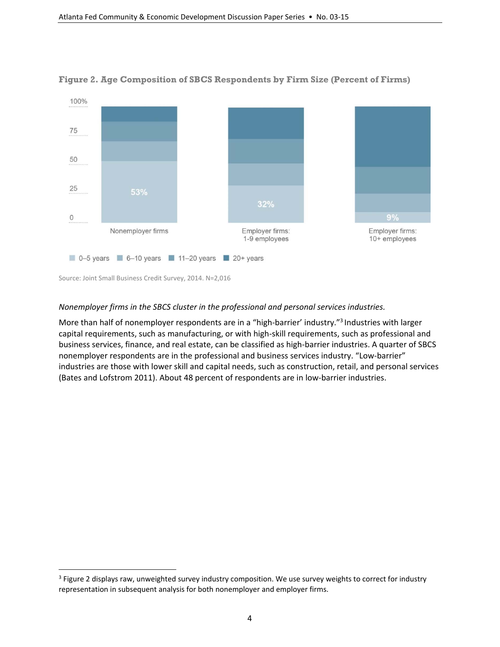

#### **Figure 2. Age Composition of SBCS Respondents by Firm Size (Percent of Firms)**

#### *Nonemployer firms in the SBCS cluster in the professional and personal services industries.*

More than half of nonemployer respondents are in a "high-barrier' industry."<sup>3</sup> Industries with larger capital requirements, such as manufacturing, or with high‐skill requirements, such as professional and business services, finance, and real estate, can be classified as high‐barrier industries. A quarter of SBCS nonemployer respondents are in the professional and business services industry. "Low‐barrier" industries are those with lower skill and capital needs, such as construction, retail, and personal services (Bates and Lofstrom 2011). About 48 percent of respondents are in low‐barrier industries.

 $\overline{a}$ 

<sup>&</sup>lt;sup>3</sup> Figure 2 displays raw, unweighted survey industry composition. We use survey weights to correct for industry representation in subsequent analysis for both nonemployer and employer firms.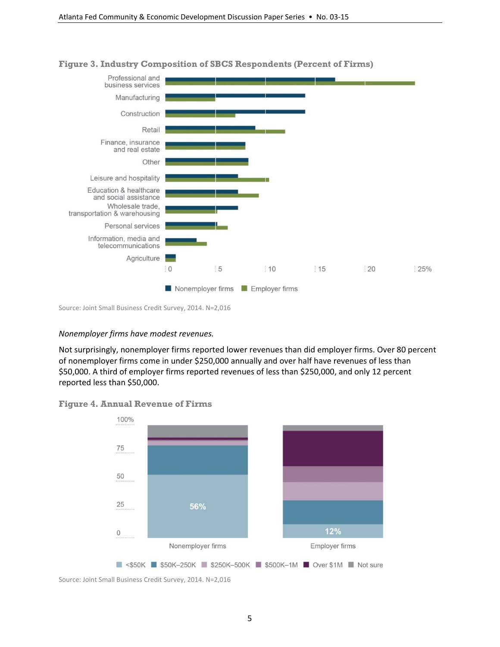

#### **Figure 3. Industry Composition of SBCS Respondents (Percent of Firms)**

Source: Joint Small Business Credit Survey, 2014. N=2,016

#### *Nonemployer firms have modest revenues.*

Not surprisingly, nonemployer firms reported lower revenues than did employer firms. Over 80 percent of nonemployer firms come in under \$250,000 annually and over half have revenues of less than \$50,000. A third of employer firms reported revenues of less than \$250,000, and only 12 percent reported less than \$50,000.





Source: Joint Small Business Credit Survey, 2014. N=2,016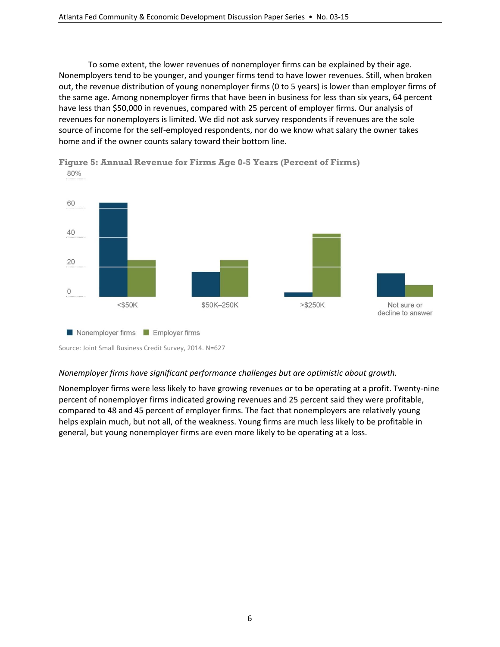To some extent, the lower revenues of nonemployer firms can be explained by their age. Nonemployers tend to be younger, and younger firms tend to have lower revenues. Still, when broken out, the revenue distribution of young nonemployer firms (0 to 5 years) is lower than employer firms of the same age. Among nonemployer firms that have been in business for less than six years, 64 percent have less than \$50,000 in revenues, compared with 25 percent of employer firms. Our analysis of revenues for nonemployers is limited. We did not ask survey respondents if revenues are the sole source of income for the self‐employed respondents, nor do we know what salary the owner takes home and if the owner counts salary toward their bottom line.



**Figure 5: Annual Revenue for Firms Age 0-5 Years (Percent of Firms)**  80%

#### *Nonemployer firms have significant performance challenges but are optimistic about growth.*

Nonemployer firms were less likely to have growing revenues or to be operating at a profit. Twenty‐nine percent of nonemployer firms indicated growing revenues and 25 percent said they were profitable, compared to 48 and 45 percent of employer firms. The fact that nonemployers are relatively young helps explain much, but not all, of the weakness. Young firms are much less likely to be profitable in general, but young nonemployer firms are even more likely to be operating at a loss.

Source: Joint Small Business Credit Survey, 2014. N=627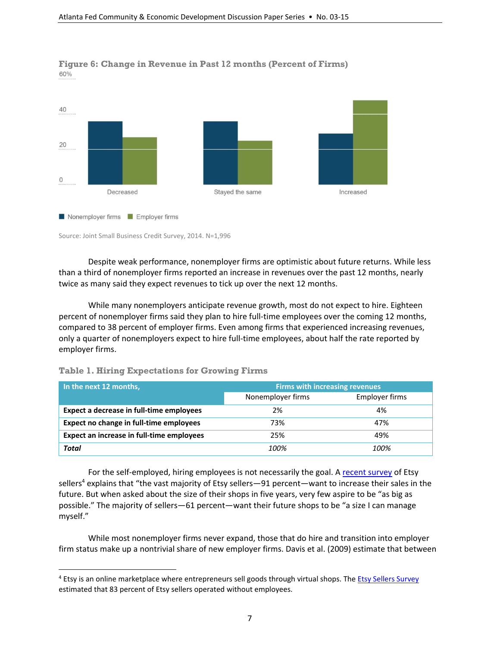

**Figure 6: Change in Revenue in Past 12 months (Percent of Firms)**  60%

Source: Joint Small Business Credit Survey, 2014. N=1,996

Despite weak performance, nonemployer firms are optimistic about future returns. While less than a third of nonemployer firms reported an increase in revenues over the past 12 months, nearly twice as many said they expect revenues to tick up over the next 12 months.

While many nonemployers anticipate revenue growth, most do not expect to hire. Eighteen percent of nonemployer firms said they plan to hire full-time employees over the coming 12 months, compared to 38 percent of employer firms. Even among firms that experienced increasing revenues, only a quarter of nonemployers expect to hire full‐time employees, about half the rate reported by employer firms.

| In the next 12 months,                    | <b>Firms with increasing revenues</b> |                |
|-------------------------------------------|---------------------------------------|----------------|
|                                           | Nonemployer firms                     | Employer firms |
| Expect a decrease in full-time employees  | 2%                                    | 4%             |
| Expect no change in full-time employees   | 73%                                   | 47%            |
| Expect an increase in full-time employees | 25%                                   | 49%            |
| Total                                     | 100%                                  | 100%           |

#### **Table 1. Hiring Expectations for Growing Firms**

 $\overline{a}$ 

For the self-employed, hiring employees is not necessarily the goal. A recent survey of Etsy sellers<sup>4</sup> explains that "the vast majority of Etsy sellers—91 percent—want to increase their sales in the future. But when asked about the size of their shops in five years, very few aspire to be "as big as possible." The majority of sellers—61 percent—want their future shops to be "a size I can manage myself."

While most nonemployer firms never expand, those that do hire and transition into employer firm status make up a nontrivial share of new employer firms. Davis et al. (2009) estimate that between

<sup>&</sup>lt;sup>4</sup> Etsy is an online marketplace where entrepreneurs sell goods through virtual shops. The Etsy Sellers Survey estimated that 83 percent of Etsy sellers operated without employees.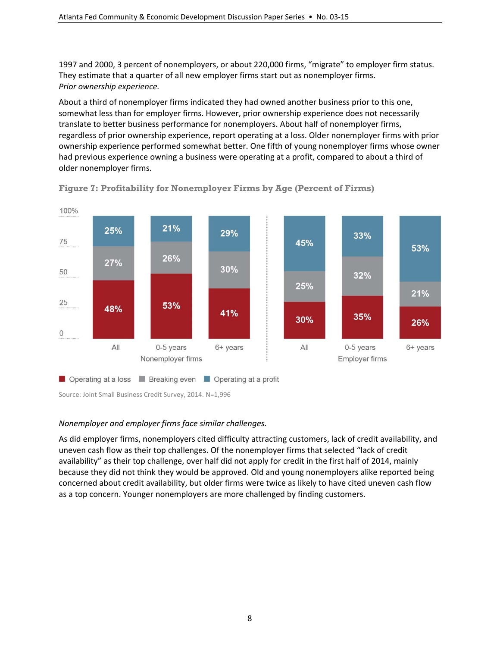1997 and 2000, 3 percent of nonemployers, or about 220,000 firms, "migrate" to employer firm status. They estimate that a quarter of all new employer firms start out as nonemployer firms. *Prior ownership experience.*

About a third of nonemployer firms indicated they had owned another business prior to this one, somewhat less than for employer firms. However, prior ownership experience does not necessarily translate to better business performance for nonemployers. About half of nonemployer firms, regardless of prior ownership experience, report operating at a loss. Older nonemployer firms with prior ownership experience performed somewhat better. One fifth of young nonemployer firms whose owner had previous experience owning a business were operating at a profit, compared to about a third of older nonemployer firms.



**Figure 7: Profitability for Nonemployer Firms by Age (Percent of Firms)** 

Source: Joint Small Business Credit Survey, 2014. N=1,996

#### *Nonemployer and employer firms face similar challenges.*

As did employer firms, nonemployers cited difficulty attracting customers, lack of credit availability, and uneven cash flow as their top challenges. Of the nonemployer firms that selected "lack of credit availability" as their top challenge, over half did not apply for credit in the first half of 2014, mainly because they did not think they would be approved. Old and young nonemployers alike reported being concerned about credit availability, but older firms were twice as likely to have cited uneven cash flow as a top concern. Younger nonemployers are more challenged by finding customers.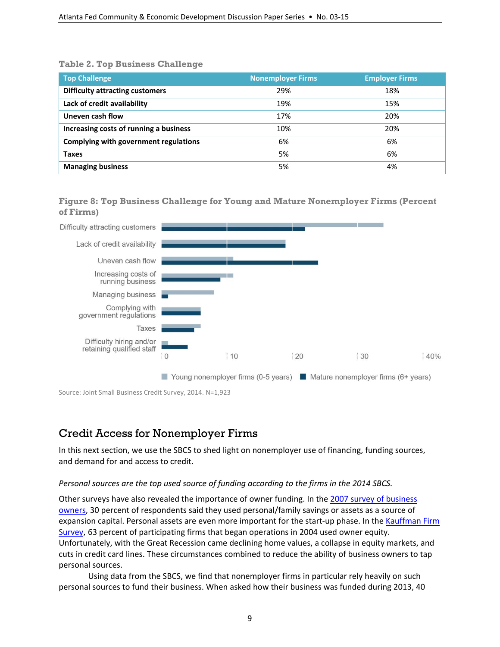#### **Table 2. Top Business Challenge**

| <b>Top Challenge</b>                   | <b>Nonemployer Firms</b> | <b>Employer Firms</b> |
|----------------------------------------|--------------------------|-----------------------|
| <b>Difficulty attracting customers</b> | 29%                      | 18%                   |
| Lack of credit availability            | 19%                      | 15%                   |
| Uneven cash flow                       | 17%                      | 20%                   |
| Increasing costs of running a business | 10%                      | 20%                   |
| Complying with government regulations  | 6%                       | 6%                    |
| Taxes                                  | 5%                       | 6%                    |
| <b>Managing business</b>               | 5%                       | 4%                    |

**Figure 8: Top Business Challenge for Young and Mature Nonemployer Firms (Percent of Firms)**



Source: Joint Small Business Credit Survey, 2014. N=1,923

## Credit Access for Nonemployer Firms

In this next section, we use the SBCS to shed light on nonemployer use of financing, funding sources, and demand for and access to credit.

#### *Personal sources are the top used source of funding according to the firms in the 2014 SBCS.*

Other surveys have also revealed the importance of owner funding. In the 2007 survey of business owners, 30 percent of respondents said they used personal/family savings or assets as a source of expansion capital. Personal assets are even more important for the start-up phase. In the Kauffman Firm Survey, 63 percent of participating firms that began operations in 2004 used owner equity. Unfortunately, with the Great Recession came declining home values, a collapse in equity markets, and cuts in credit card lines. These circumstances combined to reduce the ability of business owners to tap personal sources.

Using data from the SBCS, we find that nonemployer firms in particular rely heavily on such personal sources to fund their business. When asked how their business was funded during 2013, 40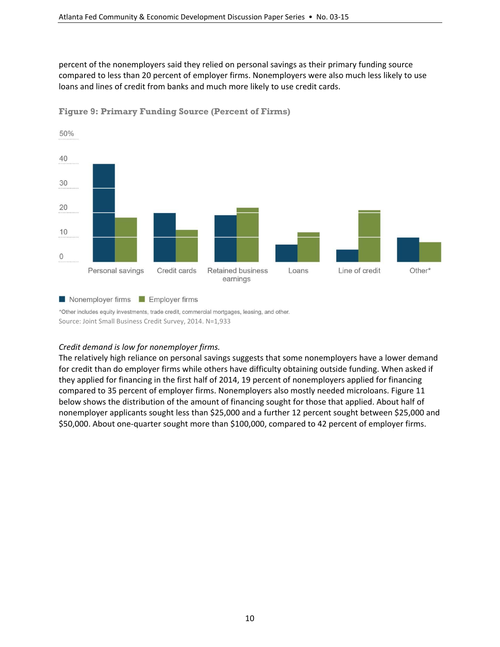percent of the nonemployers said they relied on personal savings as their primary funding source compared to less than 20 percent of employer firms. Nonemployers were also much less likely to use loans and lines of credit from banks and much more likely to use credit cards.



**Figure 9: Primary Funding Source (Percent of Firms)** 

Nonemployer firms Employer firms

\*Other includes equity investments, trade credit, commercial mortgages, leasing, and other. Source: Joint Small Business Credit Survey, 2014. N=1,933

#### *Credit demand is low for nonemployer firms.*

The relatively high reliance on personal savings suggests that some nonemployers have a lower demand for credit than do employer firms while others have difficulty obtaining outside funding. When asked if they applied for financing in the first half of 2014, 19 percent of nonemployers applied for financing compared to 35 percent of employer firms. Nonemployers also mostly needed microloans. Figure 11 below shows the distribution of the amount of financing sought for those that applied. About half of nonemployer applicants sought less than \$25,000 and a further 12 percent sought between \$25,000 and \$50,000. About one‐quarter sought more than \$100,000, compared to 42 percent of employer firms.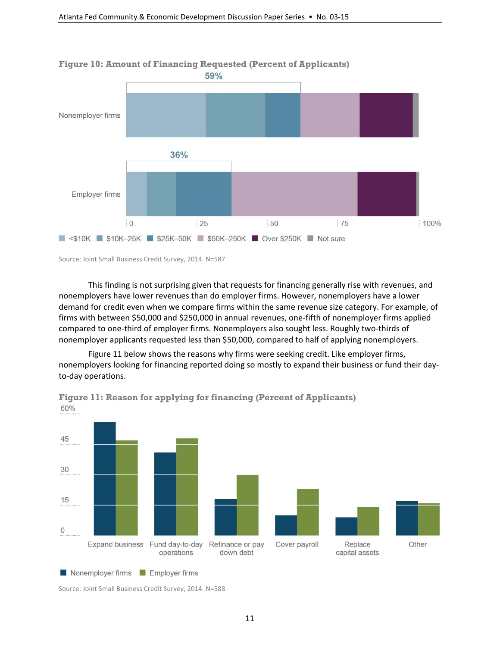

## **Figure 10: Amount of Financing Requested (Percent of Applicants)**

Source: Joint Small Business Credit Survey, 2014. N=587

This finding is not surprising given that requests for financing generally rise with revenues, and nonemployers have lower revenues than do employer firms. However, nonemployers have a lower demand for credit even when we compare firms within the same revenue size category. For example, of firms with between \$50,000 and \$250,000 in annual revenues, one‐fifth of nonemployer firms applied compared to one‐third of employer firms. Nonemployers also sought less. Roughly two‐thirds of nonemployer applicants requested less than \$50,000, compared to half of applying nonemployers.

Figure 11 below shows the reasons why firms were seeking credit. Like employer firms, nonemployers looking for financing reported doing so mostly to expand their business or fund their day‐ to‐day operations.



**Figure 11: Reason for applying for financing (Percent of Applicants)**  60%

Nonemployer firms **Employer firms** 

Source: Joint Small Business Credit Survey, 2014. N=588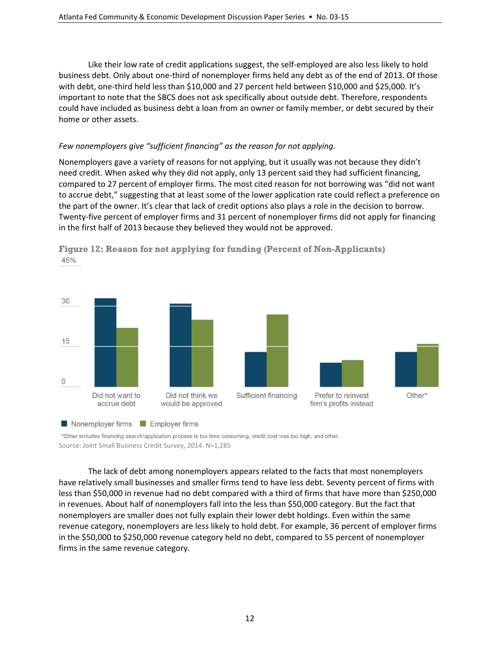Like their low rate of credit applications suggest, the self‐employed are also less likely to hold business debt. Only about one‐third of nonemployer firms held any debt as of the end of 2013. Of those with debt, one-third held less than \$10,000 and 27 percent held between \$10,000 and \$25,000. It's important to note that the SBCS does not ask specifically about outside debt. Therefore, respondents could have included as business debt a loan from an owner or family member, or debt secured by their home or other assets.

#### *Few nonemployers give "sufficient financing" as the reason for not applying.*

Nonemployers gave a variety of reasons for not applying, but it usually was not because they didn't need credit. When asked why they did not apply, only 13 percent said they had sufficient financing, compared to 27 percent of employer firms. The most cited reason for not borrowing was "did not want to accrue debt," suggesting that at least some of the lower application rate could reflect a preference on the part of the owner. It's clear that lack of credit options also plays a role in the decision to borrow. Twenty‐five percent of employer firms and 31 percent of nonemployer firms did not apply for financing in the first half of 2013 because they believed they would not be approved.





\*Other includes financing search/application process is too time consuming, credit cost was too high, and other. Source: Joint Small Business Credit Survey, 2014. N=1,285

The lack of debt among nonemployers appears related to the facts that most nonemployers have relatively small businesses and smaller firms tend to have less debt. Seventy percent of firms with less than \$50,000 in revenue had no debt compared with a third of firms that have more than \$250,000 in revenues. About half of nonemployers fall into the less than \$50,000 category. But the fact that nonemployers are smaller does not fully explain their lower debt holdings. Even within the same revenue category, nonemployers are less likely to hold debt. For example, 36 percent of employer firms in the \$50,000 to \$250,000 revenue category held no debt, compared to 55 percent of nonemployer firms in the same revenue category.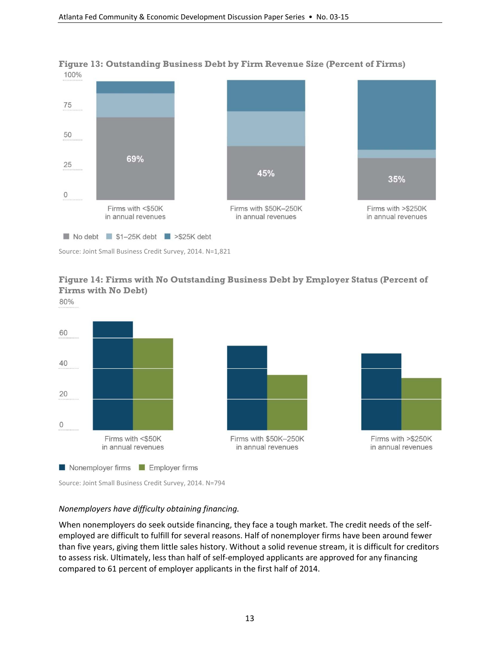

**Figure 13: Outstanding Business Debt by Firm Revenue Size (Percent of Firms)** 

Source: Joint Small Business Credit Survey, 2014. N=1,821

## **Figure 14: Firms with No Outstanding Business Debt by Employer Status (Percent of Firms with No Debt)**

80%



Source: Joint Small Business Credit Survey, 2014. N=794

#### *Nonemployers have difficulty obtaining financing.*

When nonemployers do seek outside financing, they face a tough market. The credit needs of the selfemployed are difficult to fulfill for several reasons. Half of nonemployer firms have been around fewer than five years, giving them little sales history. Without a solid revenue stream, it is difficult for creditors to assess risk. Ultimately, less than half of self-employed applicants are approved for any financing compared to 61 percent of employer applicants in the first half of 2014.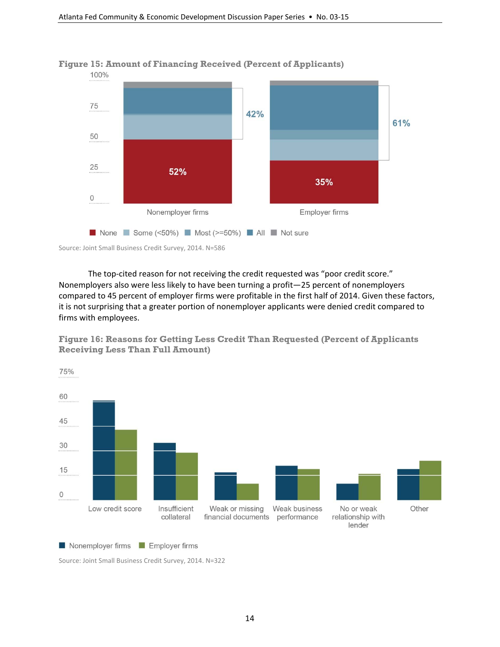

**Figure 15: Amount of Financing Received (Percent of Applicants)** 



The top-cited reason for not receiving the credit requested was "poor credit score." Nonemployers also were less likely to have been turning a profit—25 percent of nonemployers compared to 45 percent of employer firms were profitable in the first half of 2014. Given these factors, it is not surprising that a greater portion of nonemployer applicants were denied credit compared to firms with employees.

**Figure 16: Reasons for Getting Less Credit Than Requested (Percent of Applicants Receiving Less Than Full Amount)** 



Nonemployer firms **N** Employer firms

Source: Joint Small Business Credit Survey, 2014. N=322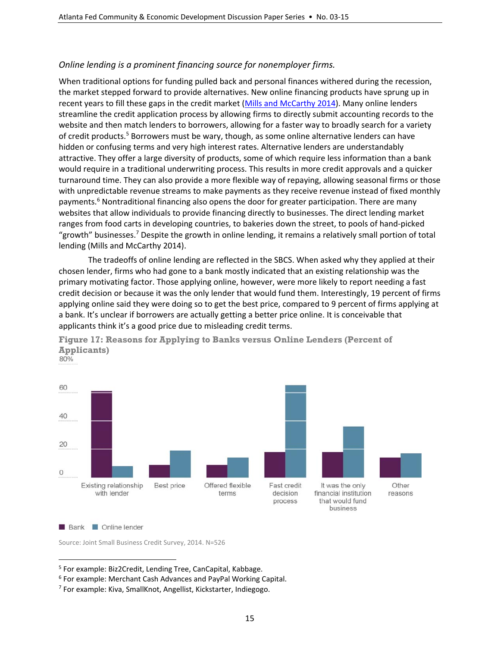#### *Online lending is a prominent financing source for nonemployer firms.*

When traditional options for funding pulled back and personal finances withered during the recession, the market stepped forward to provide alternatives. New online financing products have sprung up in recent years to fill these gaps in the credit market (Mills and McCarthy 2014). Many online lenders streamline the credit application process by allowing firms to directly submit accounting records to the website and then match lenders to borrowers, allowing for a faster way to broadly search for a variety of credit products.<sup>5</sup> Borrowers must be wary, though, as some online alternative lenders can have hidden or confusing terms and very high interest rates. Alternative lenders are understandably attractive. They offer a large diversity of products, some of which require less information than a bank would require in a traditional underwriting process. This results in more credit approvals and a quicker turnaround time. They can also provide a more flexible way of repaying, allowing seasonal firms or those with unpredictable revenue streams to make payments as they receive revenue instead of fixed monthly payments.<sup>6</sup> Nontraditional financing also opens the door for greater participation. There are many websites that allow individuals to provide financing directly to businesses. The direct lending market ranges from food carts in developing countries, to bakeries down the street, to pools of hand‐picked "growth" businesses.7 Despite the growth in online lending, it remains a relatively small portion of total lending (Mills and McCarthy 2014).

The tradeoffs of online lending are reflected in the SBCS. When asked why they applied at their chosen lender, firms who had gone to a bank mostly indicated that an existing relationship was the primary motivating factor. Those applying online, however, were more likely to report needing a fast credit decision or because it was the only lender that would fund them. Interestingly, 19 percent of firms applying online said they were doing so to get the best price, compared to 9 percent of firms applying at a bank. It's unclear if borrowers are actually getting a better price online. It is conceivable that applicants think it's a good price due to misleading credit terms.



**Figure 17: Reasons for Applying to Banks versus Online Lenders (Percent of Applicants)** 

 $\overline{a}$ 

Source: Joint Small Business Credit Survey, 2014. N=526

**Bank Conline lender** 

<sup>5</sup> For example: Biz2Credit, Lending Tree, CanCapital, Kabbage.

<sup>6</sup> For example: Merchant Cash Advances and PayPal Working Capital.

<sup>7</sup> For example: Kiva, SmallKnot, Angellist, Kickstarter, Indiegogo.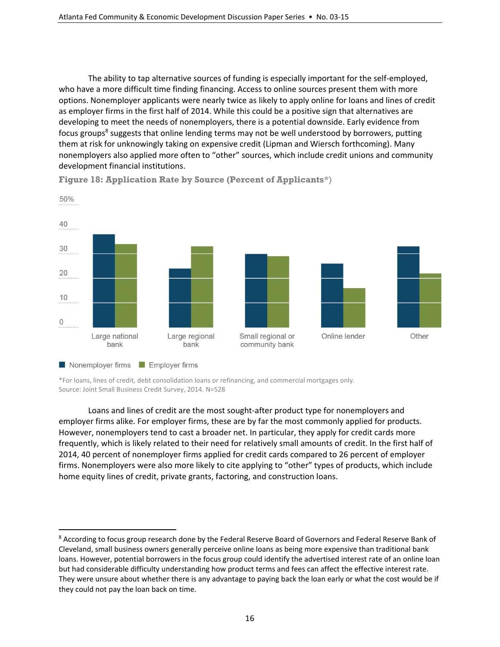The ability to tap alternative sources of funding is especially important for the self-employed, who have a more difficult time finding financing. Access to online sources present them with more options. Nonemployer applicants were nearly twice as likely to apply online for loans and lines of credit as employer firms in the first half of 2014. While this could be a positive sign that alternatives are developing to meet the needs of nonemployers, there is a potential downside. Early evidence from focus groups<sup>8</sup> suggests that online lending terms may not be well understood by borrowers, putting them at risk for unknowingly taking on expensive credit (Lipman and Wiersch forthcoming). Many nonemployers also applied more often to "other" sources, which include credit unions and community development financial institutions.



**Figure 18: Application Rate by Source (Percent of Applicants**\*)

\*For loans, lines of credit, debt consolidation loans or refinancing, and commercial mortgages only. Source: Joint Small Business Credit Survey, 2014. N=528

 $\overline{a}$ 

Loans and lines of credit are the most sought‐after product type for nonemployers and employer firms alike. For employer firms, these are by far the most commonly applied for products. However, nonemployers tend to cast a broader net. In particular, they apply for credit cards more frequently, which is likely related to their need for relatively small amounts of credit. In the first half of 2014, 40 percent of nonemployer firms applied for credit cards compared to 26 percent of employer firms. Nonemployers were also more likely to cite applying to "other" types of products, which include home equity lines of credit, private grants, factoring, and construction loans.

<sup>8</sup> According to focus group research done by the Federal Reserve Board of Governors and Federal Reserve Bank of Cleveland, small business owners generally perceive online loans as being more expensive than traditional bank loans. However, potential borrowers in the focus group could identify the advertised interest rate of an online loan but had considerable difficulty understanding how product terms and fees can affect the effective interest rate. They were unsure about whether there is any advantage to paying back the loan early or what the cost would be if they could not pay the loan back on time.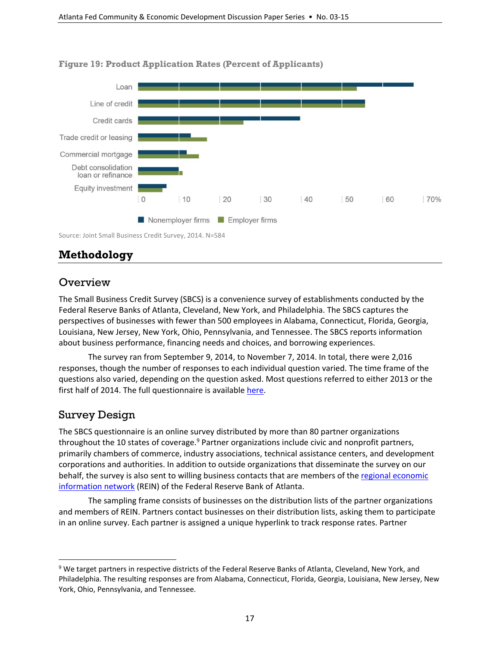

#### **Figure 19: Product Application Rates (Percent of Applicants)**

Source: Joint Small Business Credit Survey, 2014. N=584

## **Methodology**

## **Overview**

The Small Business Credit Survey (SBCS) is a convenience survey of establishments conducted by the Federal Reserve Banks of Atlanta, Cleveland, New York, and Philadelphia. The SBCS captures the perspectives of businesses with fewer than 500 employees in Alabama, Connecticut, Florida, Georgia, Louisiana, New Jersey, New York, Ohio, Pennsylvania, and Tennessee. The SBCS reports information about business performance, financing needs and choices, and borrowing experiences.

The survey ran from September 9, 2014, to November 7, 2014. In total, there were 2,016 responses, though the number of responses to each individual question varied. The time frame of the questions also varied, depending on the question asked. Most questions referred to either 2013 or the first half of 2014. The full questionnaire is available here.

## Survey Design

 $\overline{a}$ 

The SBCS questionnaire is an online survey distributed by more than 80 partner organizations throughout the 10 states of coverage.<sup>9</sup> Partner organizations include civic and nonprofit partners, primarily chambers of commerce, industry associations, technical assistance centers, and development corporations and authorities. In addition to outside organizations that disseminate the survey on our behalf, the survey is also sent to willing business contacts that are members of the regional economic information network (REIN) of the Federal Reserve Bank of Atlanta.

The sampling frame consists of businesses on the distribution lists of the partner organizations and members of REIN. Partners contact businesses on their distribution lists, asking them to participate in an online survey. Each partner is assigned a unique hyperlink to track response rates. Partner

<sup>9</sup> We target partners in respective districts of the Federal Reserve Banks of Atlanta, Cleveland, New York, and Philadelphia. The resulting responses are from Alabama, Connecticut, Florida, Georgia, Louisiana, New Jersey, New York, Ohio, Pennsylvania, and Tennessee.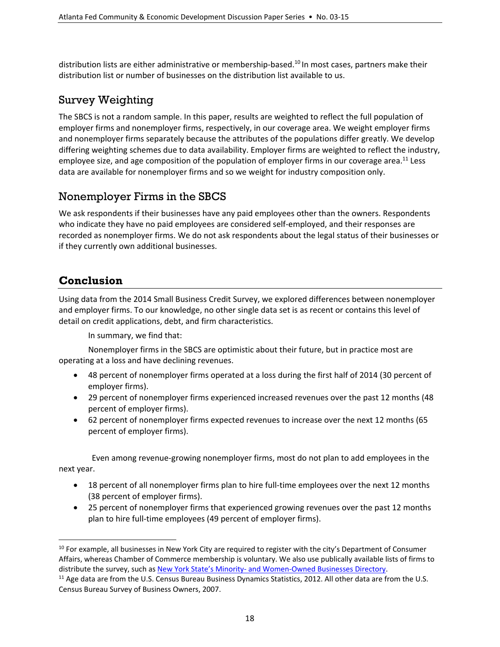distribution lists are either administrative or membership-based.<sup>10</sup> In most cases, partners make their distribution list or number of businesses on the distribution list available to us.

## Survey Weighting

The SBCS is not a random sample. In this paper, results are weighted to reflect the full population of employer firms and nonemployer firms, respectively, in our coverage area. We weight employer firms and nonemployer firms separately because the attributes of the populations differ greatly. We develop differing weighting schemes due to data availability. Employer firms are weighted to reflect the industry, employee size, and age composition of the population of employer firms in our coverage area.<sup>11</sup> Less data are available for nonemployer firms and so we weight for industry composition only.

## Nonemployer Firms in the SBCS

We ask respondents if their businesses have any paid employees other than the owners. Respondents who indicate they have no paid employees are considered self-employed, and their responses are recorded as nonemployer firms. We do not ask respondents about the legal status of their businesses or if they currently own additional businesses.

## **Conclusion**

 $\overline{a}$ 

Using data from the 2014 Small Business Credit Survey, we explored differences between nonemployer and employer firms. To our knowledge, no other single data set is as recent or contains this level of detail on credit applications, debt, and firm characteristics.

In summary, we find that:

Nonemployer firms in the SBCS are optimistic about their future, but in practice most are operating at a loss and have declining revenues.

- 48 percent of nonemployer firms operated at a loss during the first half of 2014 (30 percent of employer firms).
- 29 percent of nonemployer firms experienced increased revenues over the past 12 months (48 percent of employer firms).
- 62 percent of nonemployer firms expected revenues to increase over the next 12 months (65 percent of employer firms).

Even among revenue‐growing nonemployer firms, most do not plan to add employees in the next year.

- 18 percent of all nonemployer firms plan to hire full-time employees over the next 12 months (38 percent of employer firms).
- 25 percent of nonemployer firms that experienced growing revenues over the past 12 months plan to hire full-time employees (49 percent of employer firms).

 $10$  For example, all businesses in New York City are required to register with the city's Department of Consumer Affairs, whereas Chamber of Commerce membership is voluntary. We also use publically available lists of firms to distribute the survey, such as New York State's Minority‐ and Women‐Owned Businesses Directory.

<sup>&</sup>lt;sup>11</sup> Age data are from the U.S. Census Bureau Business Dynamics Statistics, 2012. All other data are from the U.S. Census Bureau Survey of Business Owners, 2007.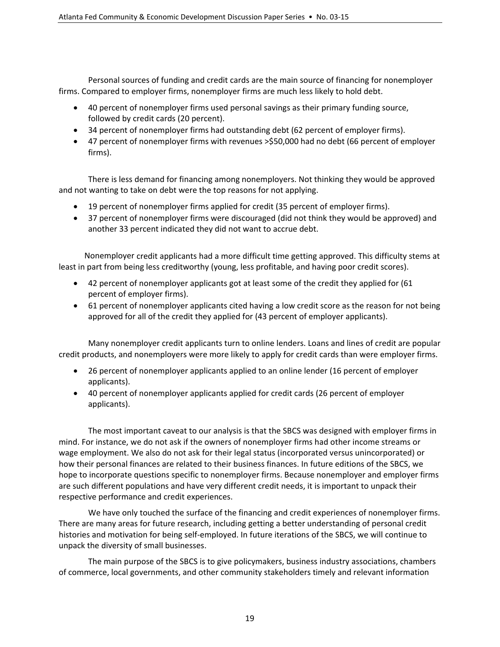Personal sources of funding and credit cards are the main source of financing for nonemployer firms. Compared to employer firms, nonemployer firms are much less likely to hold debt.

- 40 percent of nonemployer firms used personal savings as their primary funding source, followed by credit cards (20 percent).
- 34 percent of nonemployer firms had outstanding debt (62 percent of employer firms).
- 47 percent of nonemployer firms with revenues >\$50,000 had no debt (66 percent of employer firms).

There is less demand for financing among nonemployers. Not thinking they would be approved and not wanting to take on debt were the top reasons for not applying.

- 19 percent of nonemployer firms applied for credit (35 percent of employer firms).
- 37 percent of nonemployer firms were discouraged (did not think they would be approved) and another 33 percent indicated they did not want to accrue debt.

Nonemployer credit applicants had a more difficult time getting approved. This difficulty stems at least in part from being less creditworthy (young, less profitable, and having poor credit scores).

- 42 percent of nonemployer applicants got at least some of the credit they applied for (61 percent of employer firms).
- 61 percent of nonemployer applicants cited having a low credit score as the reason for not being approved for all of the credit they applied for (43 percent of employer applicants).

Many nonemployer credit applicants turn to online lenders. Loans and lines of credit are popular credit products, and nonemployers were more likely to apply for credit cards than were employer firms.

- 26 percent of nonemployer applicants applied to an online lender (16 percent of employer applicants).
- 40 percent of nonemployer applicants applied for credit cards (26 percent of employer applicants).

The most important caveat to our analysis is that the SBCS was designed with employer firms in mind. For instance, we do not ask if the owners of nonemployer firms had other income streams or wage employment. We also do not ask for their legal status (incorporated versus unincorporated) or how their personal finances are related to their business finances. In future editions of the SBCS, we hope to incorporate questions specific to nonemployer firms. Because nonemployer and employer firms are such different populations and have very different credit needs, it is important to unpack their respective performance and credit experiences.

We have only touched the surface of the financing and credit experiences of nonemployer firms. There are many areas for future research, including getting a better understanding of personal credit histories and motivation for being self‐employed. In future iterations of the SBCS, we will continue to unpack the diversity of small businesses.

The main purpose of the SBCS is to give policymakers, business industry associations, chambers of commerce, local governments, and other community stakeholders timely and relevant information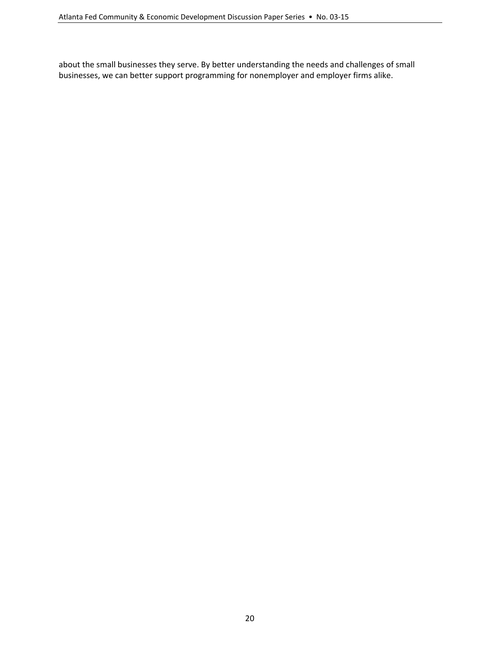about the small businesses they serve. By better understanding the needs and challenges of small businesses, we can better support programming for nonemployer and employer firms alike.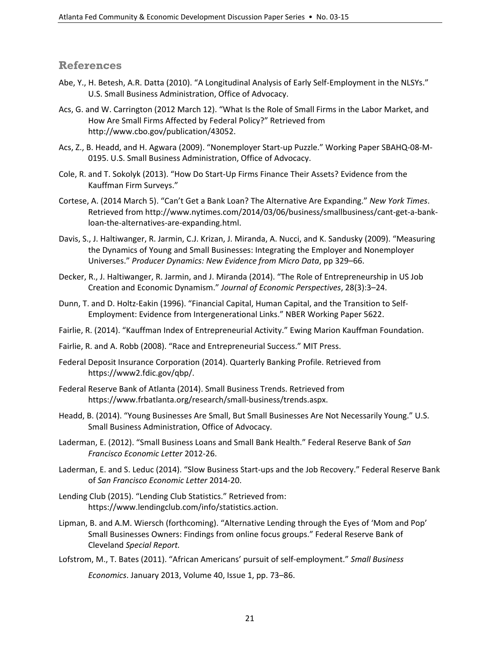#### **References**

- Abe, Y., H. Betesh, A.R. Datta (2010). "A Longitudinal Analysis of Early Self‐Employment in the NLSYs." U.S. Small Business Administration, Office of Advocacy.
- Acs, G. and W. Carrington (2012 March 12). "What Is the Role of Small Firms in the Labor Market, and How Are Small Firms Affected by Federal Policy?" Retrieved from http://www.cbo.gov/publication/43052.
- Acs, Z., B. Headd, and H. Agwara (2009). "Nonemployer Start‐up Puzzle." Working Paper SBAHQ‐08‐M‐ 0195. U.S. Small Business Administration, Office of Advocacy.
- Cole, R. and T. Sokolyk (2013). "How Do Start‐Up Firms Finance Their Assets? Evidence from the Kauffman Firm Surveys."
- Cortese, A. (2014 March 5). "Can't Get a Bank Loan? The Alternative Are Expanding." *New York Times*. Retrieved from http://www.nytimes.com/2014/03/06/business/smallbusiness/cant‐get‐a‐bank‐ loan‐the‐alternatives‐are‐expanding.html.
- Davis, S., J. Haltiwanger, R. Jarmin, C.J. Krizan, J. Miranda, A. Nucci, and K. Sandusky (2009). "Measuring the Dynamics of Young and Small Businesses: Integrating the Employer and Nonemployer Universes." *Producer Dynamics: New Evidence from Micro Data*, pp 329–66.
- Decker, R., J. Haltiwanger, R. Jarmin, and J. Miranda (2014). "The Role of Entrepreneurship in US Job Creation and Economic Dynamism." *Journal of Economic Perspectives*, 28(3):3–24.
- Dunn, T. and D. Holtz‐Eakin (1996). "Financial Capital, Human Capital, and the Transition to Self‐ Employment: Evidence from Intergenerational Links." NBER Working Paper 5622.
- Fairlie, R. (2014). "Kauffman Index of Entrepreneurial Activity." Ewing Marion Kauffman Foundation.
- Fairlie, R. and A. Robb (2008). "Race and Entrepreneurial Success." MIT Press.
- Federal Deposit Insurance Corporation (2014). Quarterly Banking Profile. Retrieved from https://www2.fdic.gov/qbp/.
- Federal Reserve Bank of Atlanta (2014). Small Business Trends. Retrieved from https://www.frbatlanta.org/research/small‐business/trends.aspx.
- Headd, B. (2014). "Young Businesses Are Small, But Small Businesses Are Not Necessarily Young." U.S. Small Business Administration, Office of Advocacy.
- Laderman, E. (2012). "Small Business Loans and Small Bank Health." Federal Reserve Bank of *San Francisco Economic Letter* 2012‐26.
- Laderman, E. and S. Leduc (2014). "Slow Business Start‐ups and the Job Recovery." Federal Reserve Bank of *San Francisco Economic Letter* 2014‐20.
- Lending Club (2015). "Lending Club Statistics." Retrieved from: https://www.lendingclub.com/info/statistics.action.
- Lipman, B. and A.M. Wiersch (forthcoming). "Alternative Lending through the Eyes of 'Mom and Pop' Small Businesses Owners: Findings from online focus groups." Federal Reserve Bank of Cleveland *Special Report.*
- Lofstrom, M., T. Bates (2011). "African Americans' pursuit of self‐employment." *Small Business*

*Economics*. January 2013, Volume 40, Issue 1, pp. 73–86.